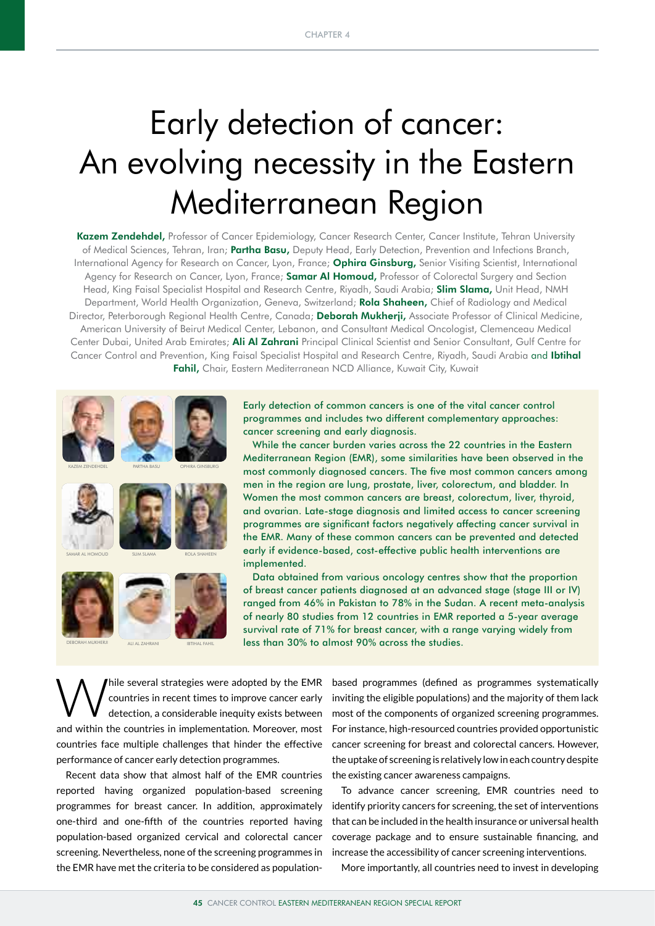# Early detection of cancer: An evolving necessity in the Eastern Mediterranean Region

Kazem Zendehdel, Professor of Cancer Epidemiology, Cancer Research Center, Cancer Institute, Tehran University of Medical Sciences, Tehran, Iran; Partha Basu, Deputy Head, Early Detection, Prevention and Infections Branch, International Agency for Research on Cancer, Lyon, France; Ophira Ginsburg, Senior Visiting Scientist, International Agency for Research on Cancer, Lyon, France; Samar Al Homoud, Professor of Colorectal Surgery and Section Head, King Faisal Specialist Hospital and Research Centre, Riyadh, Saudi Arabia; Slim Slama, Unit Head, NMH Department, World Health Organization, Geneva, Switzerland; Rola Shaheen, Chief of Radiology and Medical Director, Peterborough Regional Health Centre, Canada; Deborah Mukherji, Associate Professor of Clinical Medicine, American University of Beirut Medical Center, Lebanon, and Consultant Medical Oncologist, Clemenceau Medical Center Dubai, United Arab Emirates; Ali Al Zahrani Principal Clinical Scientist and Senior Consultant, Gulf Centre for Cancer Control and Prevention, King Faisal Specialist Hospital and Research Centre, Riyadh, Saudi Arabia and Ibtihal Fahil, Chair, Eastern Mediterranean NCD Alliance, Kuwait City, Kuwait



Early detection of common cancers is one of the vital cancer control programmes and includes two different complementary approaches: cancer screening and early diagnosis.

While the cancer burden varies across the 22 countries in the Eastern Mediterranean Region (EMR), some similarities have been observed in the most commonly diagnosed cancers. The five most common cancers among men in the region are lung, prostate, liver, colorectum, and bladder. In Women the most common cancers are breast, colorectum, liver, thyroid, and ovarian. Late-stage diagnosis and limited access to cancer screening programmes are significant factors negatively affecting cancer survival in the EMR. Many of these common cancers can be prevented and detected early if evidence-based, cost-effective public health interventions are implemented.

Data obtained from various oncology centres show that the proportion of breast cancer patients diagnosed at an advanced stage (stage III or IV) ranged from 46% in Pakistan to 78% in the Sudan. A recent meta-analysis of nearly 80 studies from 12 countries in EMR reported a 5-year average survival rate of 71% for breast cancer, with a range varying widely from less than 30% to almost 90% across the studies.

Thile several strategies were adopted by the EMR based programmes (defined as programmes systematically countries in recent times to improve cancer early inviting the eligible populations) and the majority of them lack det countries in recent times to improve cancer early detection, a considerable inequity exists between and within the countries in implementation. Moreover, most countries face multiple challenges that hinder the effective performance of cancer early detection programmes.

Recent data show that almost half of the EMR countries reported having organized population-based screening programmes for breast cancer. In addition, approximately one-third and one-fifth of the countries reported having population-based organized cervical and colorectal cancer screening. Nevertheless, none of the screening programmes in the EMR have met the criteria to be considered as population-

inviting the eligible populations) and the majority of them lack most of the components of organized screening programmes. For instance, high-resourced countries provided opportunistic cancer screening for breast and colorectal cancers. However, the uptake of screening is relatively low in each country despite the existing cancer awareness campaigns.

To advance cancer screening, EMR countries need to identify priority cancers for screening, the set of interventions that can be included in the health insurance or universal health coverage package and to ensure sustainable financing, and increase the accessibility of cancer screening interventions.

More importantly, all countries need to invest in developing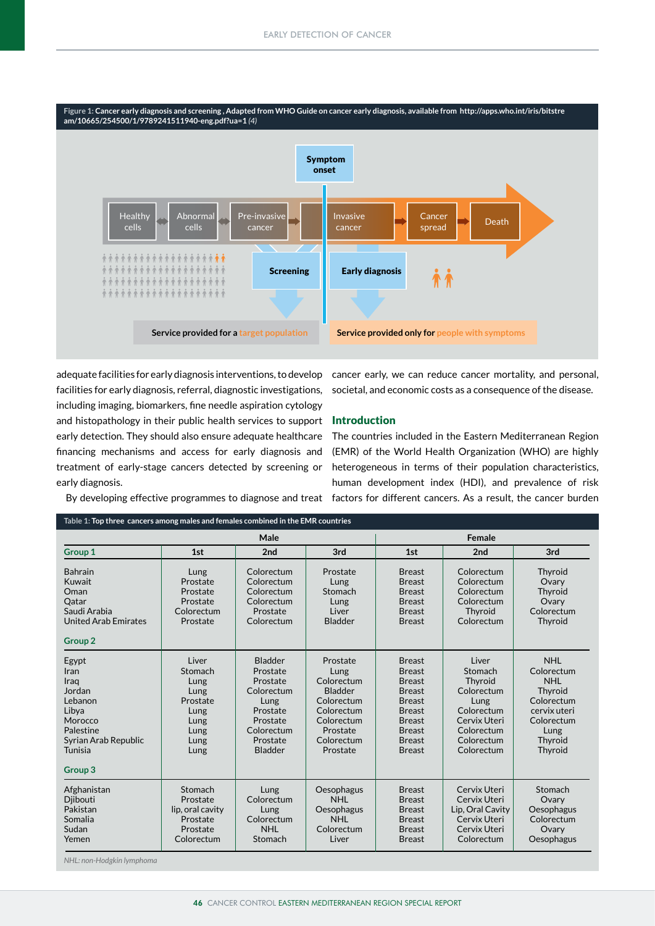

adequate facilities for early diagnosis interventions, to develop facilities for early diagnosis, referral, diagnostic investigations, including imaging, biomarkers, fine needle aspiration cytology and histopathology in their public health services to support early detection. They should also ensure adequate healthcare financing mechanisms and access for early diagnosis and treatment of early-stage cancers detected by screening or early diagnosis.

cancer early, we can reduce cancer mortality, and personal, societal, and economic costs as a consequence of the disease.

## Introduction

The countries included in the Eastern Mediterranean Region (EMR) of the World Health Organization (WHO) are highly heterogeneous in terms of their population characteristics, human development index (HDI), and prevalence of risk By developing effective programmes to diagnose and treat factors for different cancers. As a result, the cancer burden

| Table 1: Top three cancers among males and females combined in the EMR countries                                                     |                                                                                      |                                                                                                                           |                                                                                                                                  |                                                                                                                                                                        |                                                                                                                           |                                                                                                                             |  |  |  |  |  |  |
|--------------------------------------------------------------------------------------------------------------------------------------|--------------------------------------------------------------------------------------|---------------------------------------------------------------------------------------------------------------------------|----------------------------------------------------------------------------------------------------------------------------------|------------------------------------------------------------------------------------------------------------------------------------------------------------------------|---------------------------------------------------------------------------------------------------------------------------|-----------------------------------------------------------------------------------------------------------------------------|--|--|--|--|--|--|
|                                                                                                                                      |                                                                                      | Male                                                                                                                      |                                                                                                                                  | Female                                                                                                                                                                 |                                                                                                                           |                                                                                                                             |  |  |  |  |  |  |
| Group 1                                                                                                                              | 1st                                                                                  | 2nd                                                                                                                       | 3rd                                                                                                                              | 1st                                                                                                                                                                    | 2nd                                                                                                                       | 3rd                                                                                                                         |  |  |  |  |  |  |
| <b>Bahrain</b><br>Kuwait<br>Oman<br>Oatar<br>Saudi Arabia<br><b>United Arab Emirates</b><br><b>Group 2</b>                           | Lung<br>Prostate<br>Prostate<br>Prostate<br>Colorectum<br>Prostate                   | Colorectum<br>Colorectum<br>Colorectum<br>Colorectum<br>Prostate<br>Colorectum                                            | Prostate<br>Lung<br>Stomach<br>Lung<br>Liver<br><b>Bladder</b>                                                                   | <b>Breast</b><br><b>Breast</b><br><b>Breast</b><br><b>Breast</b><br><b>Breast</b><br><b>Breast</b>                                                                     | Colorectum<br>Colorectum<br>Colorectum<br>Colorectum<br>Thyroid<br>Colorectum                                             | Thyroid<br>Ovary<br>Thyroid<br>Ovary<br>Colorectum<br>Thyroid                                                               |  |  |  |  |  |  |
| Egypt<br>Iran<br>Iraq<br>Jordan<br>Lebanon<br>Libya<br>Morocco<br>Palestine<br>Syrian Arab Republic<br>Tunisia<br>Group <sub>3</sub> | Liver<br>Stomach<br>Lung<br>Lung<br>Prostate<br>Lung<br>Lung<br>Lung<br>Lung<br>Lung | Bladder<br>Prostate<br>Prostate<br>Colorectum<br>Lung<br>Prostate<br>Prostate<br>Colorectum<br>Prostate<br><b>Bladder</b> | Prostate<br>Lung<br>Colorectum<br><b>Bladder</b><br>Colorectum<br>Colorectum<br>Colorectum<br>Prostate<br>Colorectum<br>Prostate | <b>Breast</b><br><b>Breast</b><br><b>Breast</b><br><b>Breast</b><br><b>Breast</b><br><b>Breast</b><br><b>Breast</b><br><b>Breast</b><br><b>Breast</b><br><b>Breast</b> | Liver<br>Stomach<br>Thyroid<br>Colorectum<br>Lung<br>Colorectum<br>Cervix Uteri<br>Colorectum<br>Colorectum<br>Colorectum | <b>NHL</b><br>Colorectum<br><b>NHL</b><br>Thyroid<br>Colorectum<br>cervix uteri<br>Colorectum<br>Lung<br>Thyroid<br>Thyroid |  |  |  |  |  |  |
| Afghanistan<br>Djibouti<br>Pakistan<br>Somalia<br>Sudan<br>Yemen                                                                     | Stomach<br>Prostate<br>lip, oral cavity<br>Prostate<br>Prostate<br>Colorectum        |                                                                                                                           | Oesophagus<br><b>NHI</b><br>Oesophagus<br><b>NHL</b><br>Colorectum<br>Liver                                                      | <b>Breast</b><br><b>Breast</b><br><b>Breast</b><br><b>Breast</b><br><b>Breast</b><br><b>Breast</b>                                                                     | Cervix Uteri<br>Cervix Uteri<br>Lip, Oral Cavity<br>Cervix Uteri<br>Cervix Uteri<br>Colorectum                            | Stomach<br>Ovary<br>Oesophagus<br>Colorectum<br>Ovary<br>Oesophagus                                                         |  |  |  |  |  |  |

*NHL: non-Hodgkin lymphoma*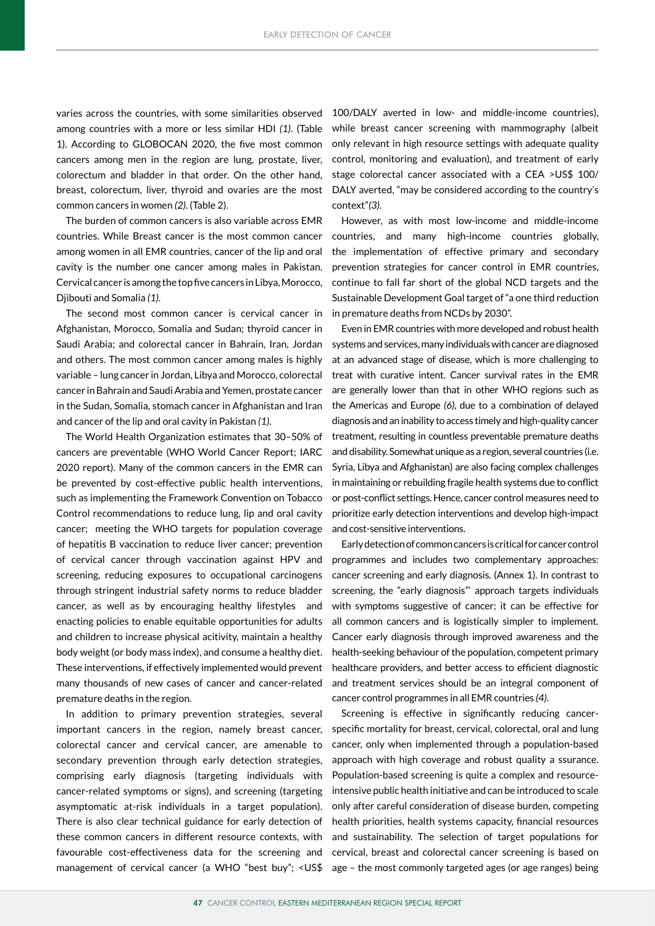varies across the countries, with some similarities observed among countries with a more or less similar HDI *(1)*. (Table 1). According to GLOBOCAN 2020, the five most common cancers among men in the region are lung, prostate, liver, colorectum and bladder in that order. On the other hand, breast, colorectum, liver, thyroid and ovaries are the most common cancers in women *(2)*. (Table 2).

The burden of common cancers is also variable across EMR countries. While Breast cancer is the most common cancer among women in all EMR countries, cancer of the lip and oral cavity is the number one cancer among males in Pakistan. Cervical cancer is among the top five cancers in Libya, Morocco, Djibouti and Somalia *(1)*.

The second most common cancer is cervical cancer in Afghanistan, Morocco, Somalia and Sudan; thyroid cancer in Saudi Arabia; and colorectal cancer in Bahrain, Iran, Jordan and others. The most common cancer among males is highly variable – lung cancer in Jordan, Libya and Morocco, colorectal cancer in Bahrain and Saudi Arabia and Yemen, prostate cancer in the Sudan, Somalia, stomach cancer in Afghanistan and Iran and cancer of the lip and oral cavity in Pakistan *(1)*.

The World Health Organization estimates that 30–50% of cancers are preventable (WHO World Cancer Report; IARC 2020 report). Many of the common cancers in the EMR can be prevented by cost-effective public health interventions, such as implementing the Framework Convention on Tobacco Control recommendations to reduce lung, lip and oral cavity cancer; meeting the WHO targets for population coverage of hepatitis B vaccination to reduce liver cancer; prevention of cervical cancer through vaccination against HPV and screening, reducing exposures to occupational carcinogens through stringent industrial safety norms to reduce bladder cancer, as well as by encouraging healthy lifestyles and enacting policies to enable equitable opportunities for adults and children to increase physical acitivity, maintain a healthy body weight (or body mass index), and consume a healthy diet. These interventions, if effectively implemented would prevent many thousands of new cases of cancer and cancer-related premature deaths in the region.

In addition to primary prevention strategies, several important cancers in the region, namely breast cancer, colorectal cancer and cervical cancer, are amenable to secondary prevention through early detection strategies, comprising early diagnosis (targeting individuals with cancer-related symptoms or signs), and screening (targeting asymptomatic at-risk individuals in a target population). There is also clear technical guidance for early detection of these common cancers in different resource contexts, with favourable cost-effectiveness data for the screening and management of cervical cancer (a WHO "best buy"; <US\$

100/DALY averted in low- and middle-income countries), while breast cancer screening with mammography (albeit only relevant in high resource settings with adequate quality control, monitoring and evaluation), and treatment of early stage colorectal cancer associated with a CEA >US\$ 100/ DALY averted, "may be considered according to the country's context"*(3)*.

However, as with most low-income and middle-income countries, and many high-income countries globally, the implementation of effective primary and secondary prevention strategies for cancer control in EMR countries, continue to fall far short of the global NCD targets and the Sustainable Development Goal target of "a one third reduction in premature deaths from NCDs by 2030".

Even in EMR countries with more developed and robust health systems and services, many individuals with cancer are diagnosed at an advanced stage of disease, which is more challenging to treat with curative intent. Cancer survival rates in the EMR are generally lower than that in other WHO regions such as the Americas and Europe *(6)*, due to a combination of delayed diagnosis and an inability to access timely and high-quality cancer treatment, resulting in countless preventable premature deaths and disability. Somewhat unique as a region, several countries (i.e. Syria, Libya and Afghanistan) are also facing complex challenges in maintaining or rebuilding fragile health systems due to conflict or post-conflict settings. Hence, cancer control measures need to prioritize early detection interventions and develop high-impact and cost-sensitive interventions.

Early detection of common cancers is critical for cancer control programmes and includes two complementary approaches: cancer screening and early diagnosis. (Annex 1). In contrast to screening, the "early diagnosis"' approach targets individuals with symptoms suggestive of cancer; it can be effective for all common cancers and is logistically simpler to implement. Cancer early diagnosis through improved awareness and the health-seeking behaviour of the population, competent primary healthcare providers, and better access to efficient diagnostic and treatment services should be an integral component of cancer control programmes in all EMR countries *(4)*.

Screening is effective in significantly reducing cancerspecific mortality for breast, cervical, colorectal, oral and lung cancer, only when implemented through a population-based approach with high coverage and robust quality a ssurance. Population-based screening is quite a complex and resourceintensive public health initiative and can be introduced to scale only after careful consideration of disease burden, competing health priorities, health systems capacity, financial resources and sustainability. The selection of target populations for cervical, breast and colorectal cancer screening is based on age – the most commonly targeted ages (or age ranges) being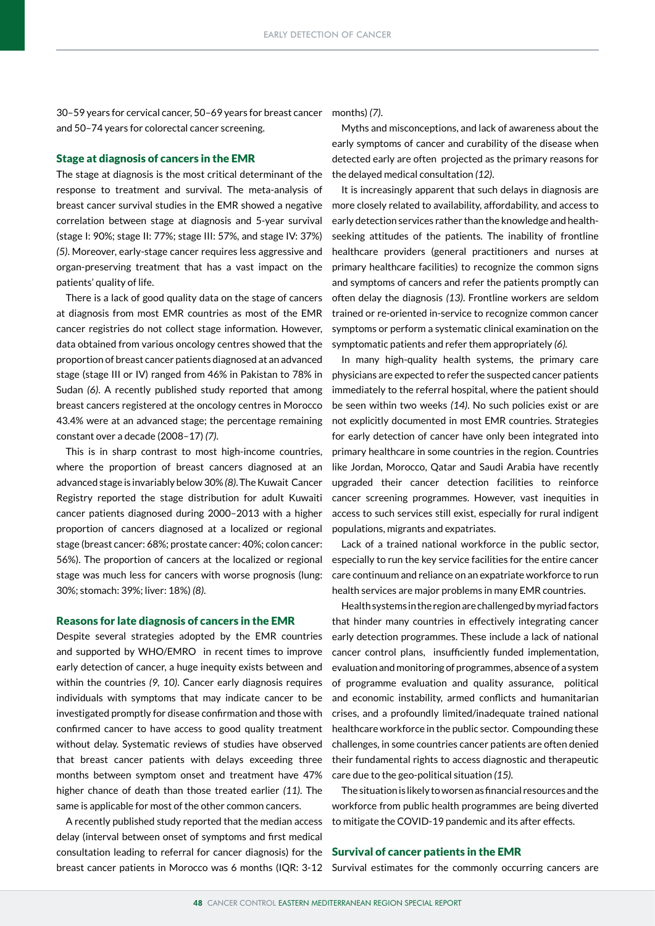30–59 years for cervical cancer, 50–69 years for breast cancer and 50–74 years for colorectal cancer screening.

#### Stage at diagnosis of cancers in the EMR

The stage at diagnosis is the most critical determinant of the response to treatment and survival. The meta-analysis of breast cancer survival studies in the EMR showed a negative correlation between stage at diagnosis and 5-year survival (stage I: 90%; stage II: 77%; stage III: 57%, and stage IV: 37%) *(5)*. Moreover, early-stage cancer requires less aggressive and organ-preserving treatment that has a vast impact on the patients' quality of life.

There is a lack of good quality data on the stage of cancers at diagnosis from most EMR countries as most of the EMR cancer registries do not collect stage information. However, data obtained from various oncology centres showed that the proportion of breast cancer patients diagnosed at an advanced stage (stage III or IV) ranged from 46% in Pakistan to 78% in Sudan *(6)*. A recently published study reported that among breast cancers registered at the oncology centres in Morocco 43.4% were at an advanced stage; the percentage remaining constant over a decade (2008–17) *(7)*.

This is in sharp contrast to most high-income countries, where the proportion of breast cancers diagnosed at an advanced stage is invariably below 30% *(8)*. The Kuwait Cancer Registry reported the stage distribution for adult Kuwaiti cancer patients diagnosed during 2000–2013 with a higher proportion of cancers diagnosed at a localized or regional stage (breast cancer: 68%; prostate cancer: 40%; colon cancer: 56%). The proportion of cancers at the localized or regional stage was much less for cancers with worse prognosis (lung: 30%; stomach: 39%; liver: 18%) *(8)*.

#### Reasons for late diagnosis of cancers in the EMR

Despite several strategies adopted by the EMR countries and supported by WHO/EMRO in recent times to improve early detection of cancer, a huge inequity exists between and within the countries *(9, 10)*. Cancer early diagnosis requires individuals with symptoms that may indicate cancer to be investigated promptly for disease confirmation and those with confirmed cancer to have access to good quality treatment without delay. Systematic reviews of studies have observed that breast cancer patients with delays exceeding three months between symptom onset and treatment have 47% higher chance of death than those treated earlier *(11)*. The same is applicable for most of the other common cancers.

consultation leading to referral for cancer diagnosis) for the Survival of cancer patients in the EMR breast cancer patients in Morocco was 6 months (IQR: 3-12 Survival estimates for the commonly occurring cancers are A recently published study reported that the median access delay (interval between onset of symptoms and first medical

months) *(7)*.

Myths and misconceptions, and lack of awareness about the early symptoms of cancer and curability of the disease when detected early are often projected as the primary reasons for the delayed medical consultation *(12)*.

It is increasingly apparent that such delays in diagnosis are more closely related to availability, affordability, and access to early detection services rather than the knowledge and healthseeking attitudes of the patients. The inability of frontline healthcare providers (general practitioners and nurses at primary healthcare facilities) to recognize the common signs and symptoms of cancers and refer the patients promptly can often delay the diagnosis *(13)*. Frontline workers are seldom trained or re-oriented in-service to recognize common cancer symptoms or perform a systematic clinical examination on the symptomatic patients and refer them appropriately *(6).*

In many high-quality health systems, the primary care physicians are expected to refer the suspected cancer patients immediately to the referral hospital, where the patient should be seen within two weeks *(14)*. No such policies exist or are not explicitly documented in most EMR countries. Strategies for early detection of cancer have only been integrated into primary healthcare in some countries in the region. Countries like Jordan, Morocco, Qatar and Saudi Arabia have recently upgraded their cancer detection facilities to reinforce cancer screening programmes. However, vast inequities in access to such services still exist, especially for rural indigent populations, migrants and expatriates.

Lack of a trained national workforce in the public sector, especially to run the key service facilities for the entire cancer care continuum and reliance on an expatriate workforce to run health services are major problems in many EMR countries.

Health systems in the region are challenged by myriad factors that hinder many countries in effectively integrating cancer early detection programmes. These include a lack of national cancer control plans, insufficiently funded implementation, evaluation and monitoring of programmes, absence of a system of programme evaluation and quality assurance, political and economic instability, armed conflicts and humanitarian crises, and a profoundly limited/inadequate trained national healthcare workforce in the public sector. Compounding these challenges, in some countries cancer patients are often denied their fundamental rights to access diagnostic and therapeutic care due to the geo-political situation *(15)*.

The situation is likely to worsen as financial resources and the workforce from public health programmes are being diverted to mitigate the COVID-19 pandemic and its after effects.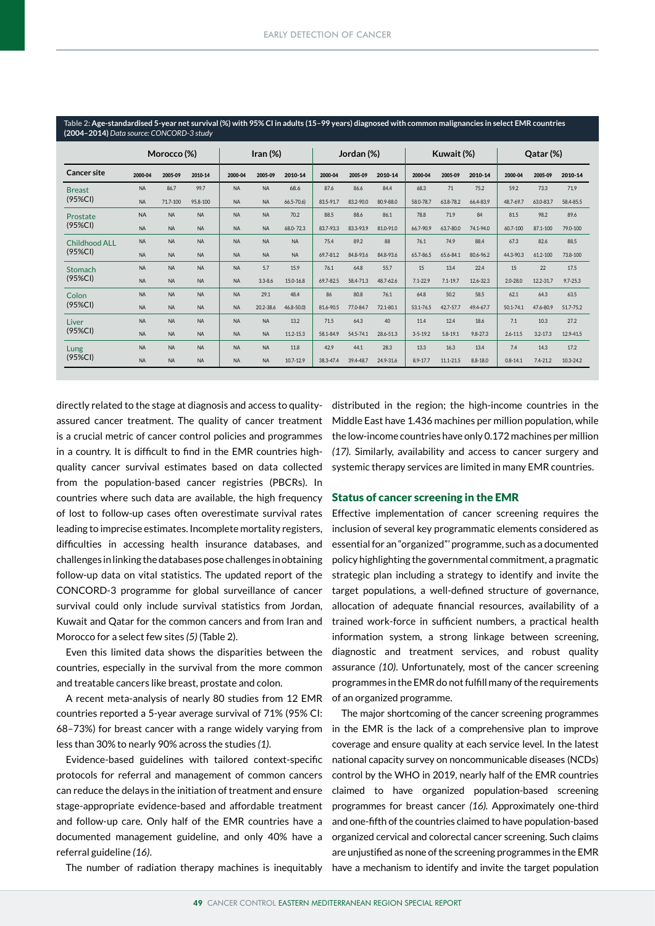| Table 2: Age-standardised 5-year net survival (%) with 95% CI in adults (15–99 years) diagnosed with common malignancies in select EMR countries<br>(2004-2014) Data source: CONCORD-3 study |             |           |           |                     |             |               |           |            |           |                |              |              |              |              |              |
|----------------------------------------------------------------------------------------------------------------------------------------------------------------------------------------------|-------------|-----------|-----------|---------------------|-------------|---------------|-----------|------------|-----------|----------------|--------------|--------------|--------------|--------------|--------------|
|                                                                                                                                                                                              | Morocco (%) |           |           | $\mathsf{Iran}(\%)$ |             | Jordan (%)    |           | Kuwait (%) |           |                | Qatar (%)    |              |              |              |              |
| Cancer site                                                                                                                                                                                  | 2000-04     | 2005-09   | 2010-14   | 2000-04             | 2005-09     | 2010-14       | 2000-04   | 2005-09    | 2010-14   | 2000-04        | 2005-09      | 2010-14      | 2000-04      | 2005-09      | 2010-14      |
| <b>Breast</b><br>(95%CI)                                                                                                                                                                     | <b>NA</b>   | 86.7      | 99.7      | <b>NA</b>           | <b>NA</b>   | 68.6          | 87.6      | 86.6       | 84.4      | 68.3           | 71           | 75.2         | 59.2         | 73.3         | 71.9         |
|                                                                                                                                                                                              | <b>NA</b>   | 71.7-100  | 95.8-100  | <b>NA</b>           | <b>NA</b>   | $66.5 - 70.6$ | 83.5-91.7 | 83.2-90.0  | 80.9-88.0 | 58.0-78.7      | 63.8-78.2    | 66.4-83.9    | 48.7-69.7    | 63.0-83.7    | 58.4-85.5    |
| Prostate<br>(95%CI)                                                                                                                                                                          | <b>NA</b>   | <b>NA</b> | <b>NA</b> | <b>NA</b>           | <b>NA</b>   | 70.2          | 88.5      | 88.6       | 86.1      | 78.8           | 71.9         | 84           | 81.5         | 98.2         | 89.6         |
|                                                                                                                                                                                              | <b>NA</b>   | <b>NA</b> | <b>NA</b> | <b>NA</b>           | <b>NA</b>   | 68.0-72.3     | 83.7-93.3 | 83.3-93.9  | 81.0-91.0 | 66.7-90.9      | 63.7-80.0    | 74.1-94.0    | 60.7-100     | 87.1-100     | 79.0-100     |
| <b>Childhood ALL</b><br>$(95\%CI)$                                                                                                                                                           | <b>NA</b>   | <b>NA</b> | <b>NA</b> | <b>NA</b>           | <b>NA</b>   | <b>NA</b>     | 75.4      | 89.2       | 88        | 76.1           | 74.9         | 88.4         | 67.3         | 82.6         | 88.5         |
|                                                                                                                                                                                              | <b>NA</b>   | <b>NA</b> | <b>NA</b> | <b>NA</b>           | <b>NA</b>   | <b>NA</b>     | 69.7-81.2 | 84.8-93.6  | 84.8-93.6 | 65.7-86.5      | 65.6-84.1    | 80.6-96.2    | 44.3-90.3    | 61.2-100     | 73.8-100     |
| Stomach<br>(95%CI)                                                                                                                                                                           | <b>NA</b>   | <b>NA</b> | <b>NA</b> | <b>NA</b>           | 5.7         | 15.9          | 76.1      | 64.8       | 55.7      | 15             | 13.4         | 22.4         | 15           | 22           | 17.5         |
|                                                                                                                                                                                              | <b>NA</b>   | <b>NA</b> | <b>NA</b> | <b>NA</b>           | $3.3 - 8.6$ | 15.0-16.8     | 69.7-82.5 | 58.4-71.3  | 48.7-62.6 | $7.1 - 22.9$   | $7.1 - 19.7$ | 12.6-32.3    | $2.0 - 28.0$ | 12.2-31.7    | $9.7 - 25.3$ |
| Colon<br>$(95\%CI)$                                                                                                                                                                          | <b>NA</b>   | <b>NA</b> | <b>NA</b> | <b>NA</b>           | 29.1        | 48.4          | 86        | 80.8       | 76.1      | 64.8           | 50.2         | 58.5         | 62.1         | 64.3         | 63.5         |
|                                                                                                                                                                                              | <b>NA</b>   | <b>NA</b> | <b>NA</b> | <b>NA</b>           | 20.2-38.6   | $46.8 - 50.0$ | 81.6-90.5 | 77.0-84.7  | 72.1-80.1 | 53.1-76.5      | 42.7-57.7    | 49.4-67.7    | 50.1-74.1    | 47.6-80.9    | 51.7-75.2    |
| Liver<br>(95%CI)                                                                                                                                                                             | <b>NA</b>   | <b>NA</b> | <b>NA</b> | <b>NA</b>           | <b>NA</b>   | 13.2          | 71.5      | 64.3       | 40        | 11.4           | 12.4         | 18.6         | 7.1          | 10.3         | 27.2         |
|                                                                                                                                                                                              | <b>NA</b>   | <b>NA</b> | <b>NA</b> | <b>NA</b>           | <b>NA</b>   | 11.2-15.3     | 58.1-84.9 | 54.5-74.1  | 28.6-51.3 | $3 - 5 - 19.2$ | $5.8 - 19.1$ | $9.8 - 27.3$ | $2.6 - 11.5$ | $3.2 - 17.3$ | 12.9-41.5    |
| Lung<br>$(95\%CI)$                                                                                                                                                                           | <b>NA</b>   | <b>NA</b> | <b>NA</b> | <b>NA</b>           | <b>NA</b>   | 11.8          | 42.9      | 44.1       | 28.3      | 13.3           | 16.3         | 13.4         | 7.4          | 14.3         | 17.2         |
|                                                                                                                                                                                              | <b>NA</b>   | <b>NA</b> | <b>NA</b> | <b>NA</b>           | <b>NA</b>   | 10.7-12.9     | 38.3-47.4 | 39.4-48.7  | 24.9-31.6 | $8.9 - 17.7$   | 11.1-21.5    | $8.8 - 18.0$ | $0.8 - 14.1$ | 7.4-21.2     | 10.3-24.2    |

directly related to the stage at diagnosis and access to qualityassured cancer treatment. The quality of cancer treatment is a crucial metric of cancer control policies and programmes in a country. It is difficult to find in the EMR countries highquality cancer survival estimates based on data collected from the population-based cancer registries (PBCRs). In countries where such data are available, the high frequency of lost to follow-up cases often overestimate survival rates leading to imprecise estimates. Incomplete mortality registers, difficulties in accessing health insurance databases, and challenges in linking the databases pose challenges in obtaining follow-up data on vital statistics. The updated report of the CONCORD-3 programme for global surveillance of cancer survival could only include survival statistics from Jordan, Kuwait and Qatar for the common cancers and from Iran and Morocco for a select few sites *(5)* (Table 2).

Even this limited data shows the disparities between the countries, especially in the survival from the more common and treatable cancers like breast, prostate and colon.

A recent meta-analysis of nearly 80 studies from 12 EMR countries reported a 5-year average survival of 71% (95% CI: 68–73%) for breast cancer with a range widely varying from less than 30% to nearly 90% across the studies *(1)*.

Evidence-based guidelines with tailored context-specific protocols for referral and management of common cancers can reduce the delays in the initiation of treatment and ensure stage-appropriate evidence-based and affordable treatment and follow-up care. Only half of the EMR countries have a documented management guideline, and only 40% have a referral guideline *(16)*.

distributed in the region; the high-income countries in the Middle East have 1.436 machines per million population, while the low-income countries have only 0.172 machines per million *(17).* Similarly, availability and access to cancer surgery and systemic therapy services are limited in many EMR countries.

### Status of cancer screening in the EMR

Effective implementation of cancer screening requires the inclusion of several key programmatic elements considered as essential for an "organized"' programme, such as a documented policy highlighting the governmental commitment, a pragmatic strategic plan including a strategy to identify and invite the target populations, a well-defined structure of governance, allocation of adequate financial resources, availability of a trained work-force in sufficient numbers, a practical health information system, a strong linkage between screening, diagnostic and treatment services, and robust quality assurance *(10)*. Unfortunately, most of the cancer screening programmes in the EMR do not fulfill many of the requirements of an organized programme.

The major shortcoming of the cancer screening programmes in the EMR is the lack of a comprehensive plan to improve coverage and ensure quality at each service level. In the latest national capacity survey on noncommunicable diseases (NCDs) control by the WHO in 2019, nearly half of the EMR countries claimed to have organized population-based screening programmes for breast cancer *(16).* Approximately one-third and one-fifth of the countries claimed to have population-based organized cervical and colorectal cancer screening. Such claims are unjustified as none of the screening programmes in the EMR The number of radiation therapy machines is inequitably have a mechanism to identify and invite the target population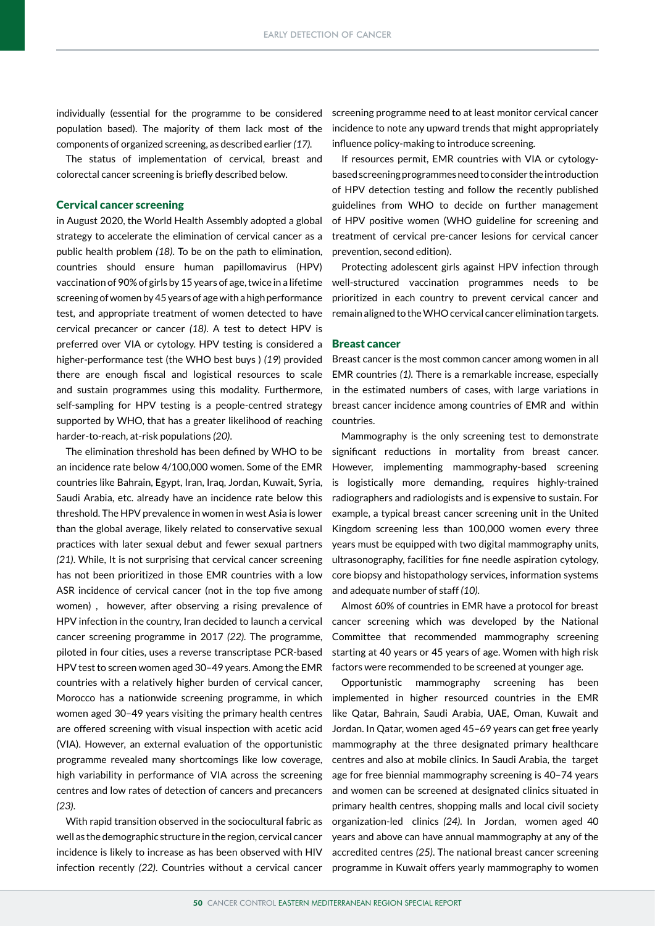individually (essential for the programme to be considered population based). The majority of them lack most of the components of organized screening, as described earlier *(17).*

The status of implementation of cervical, breast and colorectal cancer screening is briefly described below.

#### Cervical cancer screening

in August 2020, the World Health Assembly adopted a global strategy to accelerate the elimination of cervical cancer as a public health problem *(18)*. To be on the path to elimination, countries should ensure human papillomavirus (HPV) vaccination of 90% of girls by 15 years of age, twice in a lifetime screening of women by 45 years of age with a high performance test, and appropriate treatment of women detected to have cervical precancer or cancer *(18)*. A test to detect HPV is preferred over VIA or cytology. HPV testing is considered a higher-performance test (the WHO best buys ) *(19*) provided there are enough fiscal and logistical resources to scale and sustain programmes using this modality. Furthermore, self-sampling for HPV testing is a people-centred strategy supported by WHO, that has a greater likelihood of reaching harder-to-reach, at-risk populations *(20)*.

The elimination threshold has been defined by WHO to be an incidence rate below 4/100,000 women. Some of the EMR countries like Bahrain, Egypt, Iran, Iraq, Jordan, Kuwait, Syria, Saudi Arabia, etc. already have an incidence rate below this threshold. The HPV prevalence in women in west Asia is lower than the global average, likely related to conservative sexual practices with later sexual debut and fewer sexual partners *(21)*. While, It is not surprising that cervical cancer screening has not been prioritized in those EMR countries with a low ASR incidence of cervical cancer (not in the top five among women) , however, after observing a rising prevalence of HPV infection in the country, Iran decided to launch a cervical cancer screening programme in 2017 *(22).* The programme, piloted in four cities, uses a reverse transcriptase PCR-based HPV test to screen women aged 30–49 years. Among the EMR countries with a relatively higher burden of cervical cancer, Morocco has a nationwide screening programme, in which women aged 30–49 years visiting the primary health centres are offered screening with visual inspection with acetic acid (VIA). However, an external evaluation of the opportunistic programme revealed many shortcomings like low coverage, high variability in performance of VIA across the screening centres and low rates of detection of cancers and precancers *(23)*.

With rapid transition observed in the sociocultural fabric as well as the demographic structure in the region, cervical cancer incidence is likely to increase as has been observed with HIV infection recently *(22)*. Countries without a cervical cancer

screening programme need to at least monitor cervical cancer incidence to note any upward trends that might appropriately influence policy-making to introduce screening.

If resources permit, EMR countries with VIA or cytologybased screening programmes need to consider the introduction of HPV detection testing and follow the recently published guidelines from WHO to decide on further management of HPV positive women (WHO guideline for screening and treatment of cervical pre-cancer lesions for cervical cancer prevention, second edition).

Protecting adolescent girls against HPV infection through well-structured vaccination programmes needs to be prioritized in each country to prevent cervical cancer and remain aligned to the WHO cervical cancer elimination targets.

#### Breast cancer

Breast cancer is the most common cancer among women in all EMR countries *(1).* There is a remarkable increase, especially in the estimated numbers of cases, with large variations in breast cancer incidence among countries of EMR and within countries.

Mammography is the only screening test to demonstrate significant reductions in mortality from breast cancer. However, implementing mammography-based screening is logistically more demanding, requires highly-trained radiographers and radiologists and is expensive to sustain. For example, a typical breast cancer screening unit in the United Kingdom screening less than 100,000 women every three years must be equipped with two digital mammography units, ultrasonography, facilities for fine needle aspiration cytology, core biopsy and histopathology services, information systems and adequate number of staff *(10)*.

Almost 60% of countries in EMR have a protocol for breast cancer screening which was developed by the National Committee that recommended mammography screening starting at 40 years or 45 years of age. Women with high risk factors were recommended to be screened at younger age.

Opportunistic mammography screening has been implemented in higher resourced countries in the EMR like Qatar, Bahrain, Saudi Arabia, UAE, Oman, Kuwait and Jordan. In Qatar, women aged 45–69 years can get free yearly mammography at the three designated primary healthcare centres and also at mobile clinics. In Saudi Arabia, the target age for free biennial mammography screening is 40–74 years and women can be screened at designated clinics situated in primary health centres, shopping malls and local civil society organization-led clinics *(24).* In Jordan, women aged 40 years and above can have annual mammography at any of the accredited centres *(25)*. The national breast cancer screening programme in Kuwait offers yearly mammography to women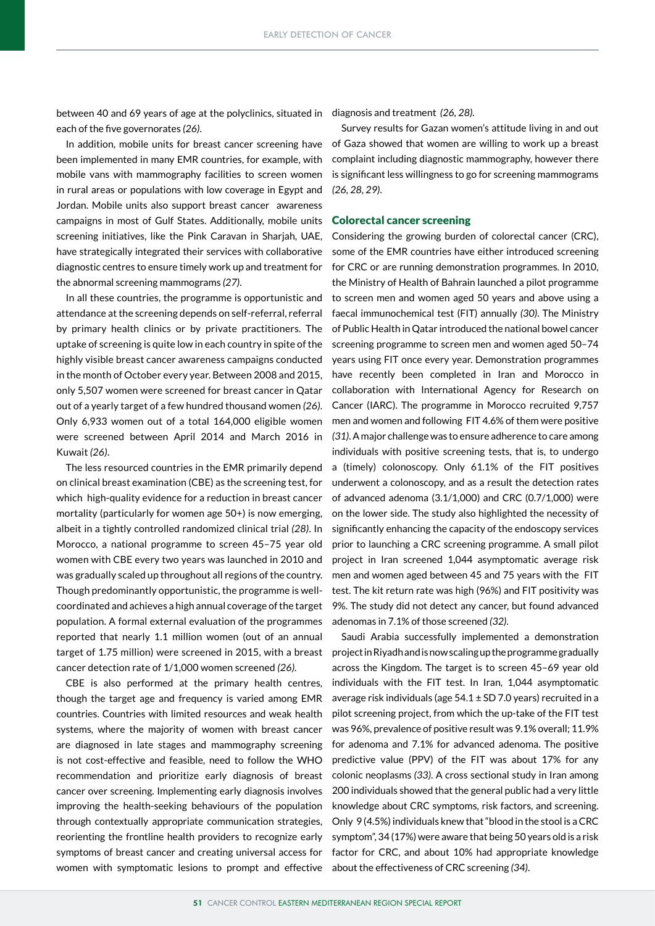between 40 and 69 years of age at the polyclinics, situated in diagnosis and treatment (26, 28). each of the five governorates *(26)*.

In addition, mobile units for breast cancer screening have been implemented in many EMR countries, for example, with mobile vans with mammography facilities to screen women in rural areas or populations with low coverage in Egypt and Jordan. Mobile units also support breast cancer awareness campaigns in most of Gulf States. Additionally, mobile units screening initiatives, like the Pink Caravan in Sharjah, UAE, have strategically integrated their services with collaborative diagnostic centres to ensure timely work up and treatment for the abnormal screening mammograms *(27)*.

In all these countries, the programme is opportunistic and attendance at the screening depends on self-referral, referral by primary health clinics or by private practitioners. The uptake of screening is quite low in each country in spite of the highly visible breast cancer awareness campaigns conducted in the month of October every year. Between 2008 and 2015, only 5,507 women were screened for breast cancer in Qatar out of a yearly target of a few hundred thousand women *(26)*. Only 6,933 women out of a total 164,000 eligible women were screened between April 2014 and March 2016 in Kuwait *(26)*.

The less resourced countries in the EMR primarily depend on clinical breast examination (CBE) as the screening test, for which high-quality evidence for a reduction in breast cancer mortality (particularly for women age 50+) is now emerging, albeit in a tightly controlled randomized clinical trial *(28)*. In Morocco, a national programme to screen 45–75 year old women with CBE every two years was launched in 2010 and was gradually scaled up throughout all regions of the country. Though predominantly opportunistic, the programme is wellcoordinated and achieves a high annual coverage of the target population. A formal external evaluation of the programmes reported that nearly 1.1 million women (out of an annual target of 1.75 million) were screened in 2015, with a breast cancer detection rate of 1/1,000 women screened *(26).*

women with symptomatic lesions to prompt and effective about the effectiveness of CRC screening (34). CBE is also performed at the primary health centres, though the target age and frequency is varied among EMR countries. Countries with limited resources and weak health systems, where the majority of women with breast cancer are diagnosed in late stages and mammography screening is not cost-effective and feasible, need to follow the WHO recommendation and prioritize early diagnosis of breast cancer over screening. Implementing early diagnosis involves improving the health-seeking behaviours of the population through contextually appropriate communication strategies, reorienting the frontline health providers to recognize early symptoms of breast cancer and creating universal access for

Survey results for Gazan women's attitude living in and out of Gaza showed that women are willing to work up a breast complaint including diagnostic mammography, however there is significant less willingness to go for screening mammograms *(26, 28, 29)*.

#### Colorectal cancer screening

Considering the growing burden of colorectal cancer (CRC), some of the EMR countries have either introduced screening for CRC or are running demonstration programmes. In 2010, the Ministry of Health of Bahrain launched a pilot programme to screen men and women aged 50 years and above using a faecal immunochemical test (FIT) annually *(30)*. The Ministry of Public Health in Qatar introduced the national bowel cancer screening programme to screen men and women aged 50–74 years using FIT once every year. Demonstration programmes have recently been completed in Iran and Morocco in collaboration with International Agency for Research on Cancer (IARC). The programme in Morocco recruited 9,757 men and women and following FIT 4.6% of them were positive *(31)*. A major challenge was to ensure adherence to care among individuals with positive screening tests, that is, to undergo a (timely) colonoscopy. Only 61.1% of the FIT positives underwent a colonoscopy, and as a result the detection rates of advanced adenoma (3.1/1,000) and CRC (0.7/1,000) were on the lower side. The study also highlighted the necessity of significantly enhancing the capacity of the endoscopy services prior to launching a CRC screening programme. A small pilot project in Iran screened 1,044 asymptomatic average risk men and women aged between 45 and 75 years with the FIT test. The kit return rate was high (96%) and FIT positivity was 9%. The study did not detect any cancer, but found advanced adenomas in 7.1% of those screened *(32)*.

Saudi Arabia successfully implemented a demonstration project in Riyadh and is now scaling up the programme gradually across the Kingdom. The target is to screen 45–69 year old individuals with the FIT test. In Iran, 1,044 asymptomatic average risk individuals (age  $54.1 \pm SD$  7.0 years) recruited in a pilot screening project, from which the up-take of the FIT test was 96%, prevalence of positive result was 9.1% overall; 11.9% for adenoma and 7.1% for advanced adenoma. The positive predictive value (PPV) of the FIT was about 17% for any colonic neoplasms *(33)*. A cross sectional study in Iran among 200 individuals showed that the general public had a very little knowledge about CRC symptoms, risk factors, and screening. Only 9 (4.5%) individuals knew that "blood in the stool is a CRC symptom", 34 (17%) were aware that being 50 years old is a risk factor for CRC, and about 10% had appropriate knowledge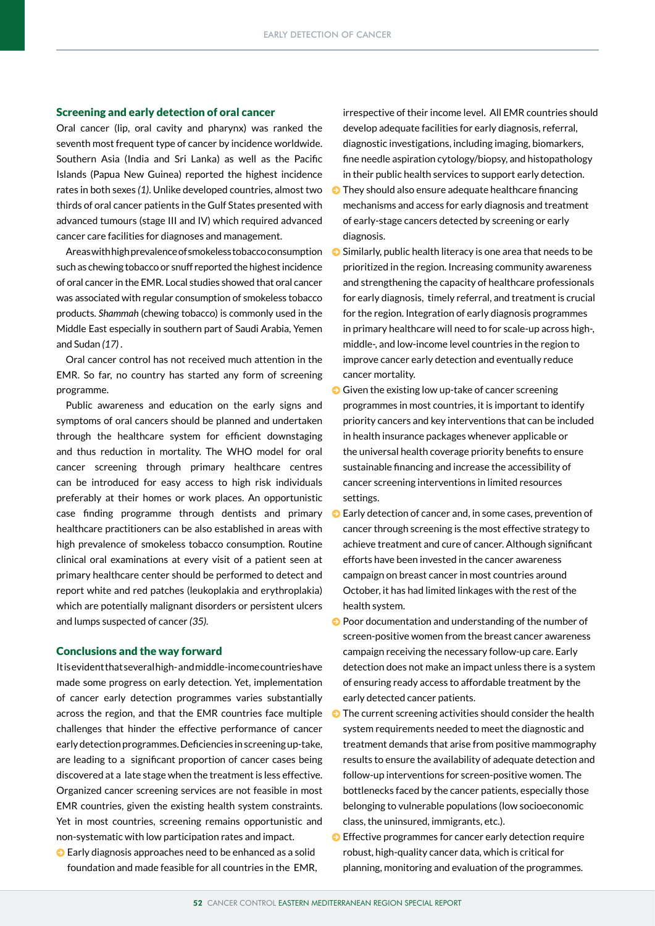#### Screening and early detection of oral cancer

Oral cancer (lip, oral cavity and pharynx) was ranked the seventh most frequent type of cancer by incidence worldwide. Southern Asia (India and Sri Lanka) as well as the Pacific Islands (Papua New Guinea) reported the highest incidence rates in both sexes *(1)*. Unlike developed countries, almost two thirds of oral cancer patients in the Gulf States presented with advanced tumours (stage III and IV) which required advanced cancer care facilities for diagnoses and management.

Areas with high prevalence of smokeless tobacco consumption such as chewing tobacco or snuff reported the highest incidence of oral cancer in the EMR. Local studies showed that oral cancer was associated with regular consumption of smokeless tobacco products. *Shammah* (chewing tobacco) is commonly used in the Middle East especially in southern part of Saudi Arabia, Yemen and Sudan *(17)* .

Oral cancer control has not received much attention in the EMR. So far, no country has started any form of screening programme.

Public awareness and education on the early signs and symptoms of oral cancers should be planned and undertaken through the healthcare system for efficient downstaging and thus reduction in mortality. The WHO model for oral cancer screening through primary healthcare centres can be introduced for easy access to high risk individuals preferably at their homes or work places. An opportunistic case finding programme through dentists and primary healthcare practitioners can be also established in areas with high prevalence of smokeless tobacco consumption. Routine clinical oral examinations at every visit of a patient seen at primary healthcare center should be performed to detect and report white and red patches (leukoplakia and erythroplakia) which are potentially malignant disorders or persistent ulcers and lumps suspected of cancer *(35).*

#### Conclusions and the way forward

It is evident that several high- and middle-income countries have made some progress on early detection. Yet, implementation of cancer early detection programmes varies substantially across the region, and that the EMR countries face multiple challenges that hinder the effective performance of cancer early detection programmes. Deficiencies in screening up-take, are leading to a significant proportion of cancer cases being discovered at a late stage when the treatment is less effective. Organized cancer screening services are not feasible in most EMR countries, given the existing health system constraints. Yet in most countries, screening remains opportunistic and non-systematic with low participation rates and impact.

 $\bullet$  Early diagnosis approaches need to be enhanced as a solid foundation and made feasible for all countries in the EMR, irrespective of their income level. All EMR countries should develop adequate facilities for early diagnosis, referral, diagnostic investigations, including imaging, biomarkers, fine needle aspiration cytology/biopsy, and histopathology in their public health services to support early detection.

- $\bullet$  They should also ensure adequate healthcare financing mechanisms and access for early diagnosis and treatment of early-stage cancers detected by screening or early diagnosis.
- $\odot$  Similarly, public health literacy is one area that needs to be prioritized in the region. Increasing community awareness and strengthening the capacity of healthcare professionals for early diagnosis, timely referral, and treatment is crucial for the region. Integration of early diagnosis programmes in primary healthcare will need to for scale-up across high-, middle-, and low-income level countries in the region to improve cancer early detection and eventually reduce cancer mortality.
- $\Theta$  Given the existing low up-take of cancer screening programmes in most countries, it is important to identify priority cancers and key interventions that can be included in health insurance packages whenever applicable or the universal health coverage priority benefits to ensure sustainable financing and increase the accessibility of cancer screening interventions in limited resources settings.
- $\odot$  Early detection of cancer and, in some cases, prevention of cancer through screening is the most effective strategy to achieve treatment and cure of cancer. Although significant efforts have been invested in the cancer awareness campaign on breast cancer in most countries around October, it has had limited linkages with the rest of the health system.
- $\Theta$  Poor documentation and understanding of the number of screen-positive women from the breast cancer awareness campaign receiving the necessary follow-up care. Early detection does not make an impact unless there is a system of ensuring ready access to affordable treatment by the early detected cancer patients.
- $\odot$  The current screening activities should consider the health system requirements needed to meet the diagnostic and treatment demands that arise from positive mammography results to ensure the availability of adequate detection and follow-up interventions for screen-positive women. The bottlenecks faced by the cancer patients, especially those belonging to vulnerable populations (low socioeconomic class, the uninsured, immigrants, etc.).
- $\bullet$  Effective programmes for cancer early detection require robust, high-quality cancer data, which is critical for planning, monitoring and evaluation of the programmes.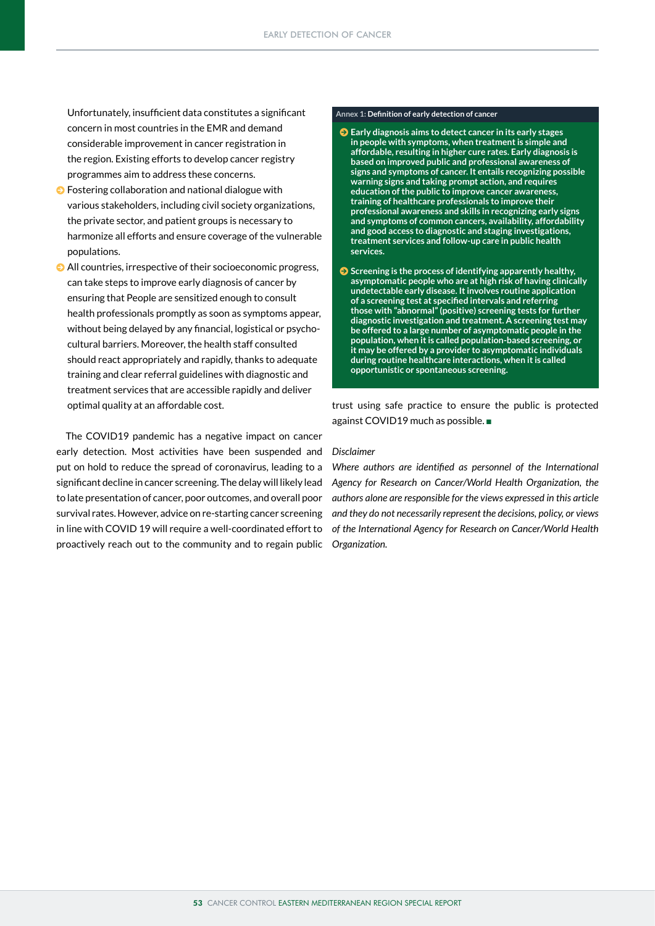Unfortunately, insufficient data constitutes a significant concern in most countries in the EMR and demand considerable improvement in cancer registration in the region. Existing efforts to develop cancer registry programmes aim to address these concerns.

- $\bullet$  Fostering collaboration and national dialogue with various stakeholders, including civil society organizations, the private sector, and patient groups is necessary to harmonize all efforts and ensure coverage of the vulnerable populations.
- <sup>O</sup> All countries, irrespective of their socioeconomic progress, can take steps to improve early diagnosis of cancer by ensuring that People are sensitized enough to consult health professionals promptly as soon as symptoms appear, without being delayed by any financial, logistical or psychocultural barriers. Moreover, the health staff consulted should react appropriately and rapidly, thanks to adequate training and clear referral guidelines with diagnostic and treatment services that are accessible rapidly and deliver optimal quality at an affordable cost.

The COVID19 pandemic has a negative impact on cancer early detection. Most activities have been suspended and put on hold to reduce the spread of coronavirus, leading to a significant decline in cancer screening. The delay will likely lead to late presentation of cancer, poor outcomes, and overall poor survival rates. However, advice on re-starting cancer screening in line with COVID 19 will require a well-coordinated effort to proactively reach out to the community and to regain public

#### **Annex 1: Definition of early detection of cancer**

- $\bullet$  Early diagnosis aims to detect cancer in its early stages **in people with symptoms, when treatment is simple and affordable, resulting in higher cure rates. Early diagnosis is based on improved public and professional awareness of signs and symptoms of cancer. It entails recognizing possible warning signs and taking prompt action, and requires education of the public to improve cancer awareness, training of healthcare professionals to improve their professional awareness and skills in recognizing early signs and symptoms of common cancers, availability, affordability and good access to diagnostic and staging investigations, treatment services and follow-up care in public health services.**
- $\bullet$  Screening is the process of identifying apparently healthy, **asymptomatic people who are at high risk of having clinically undetectable early disease. It involves routine application of a screening test at specified intervals and referring those with "abnormal" (positive) screening tests for further diagnostic investigation and treatment. A screening test may be offered to a large number of asymptomatic people in the population, when it is called population-based screening, or it may be offered by a provider to asymptomatic individuals during routine healthcare interactions, when it is called opportunistic or spontaneous screening.**

trust using safe practice to ensure the public is protected against COVID19 much as possible.

#### *Disclaimer*

*Where authors are identified as personnel of the International Agency for Research on Cancer/World Health Organization, the authors alone are responsible for the views expressed in this article and they do not necessarily represent the decisions, policy, or views of the International Agency for Research on Cancer/World Health Organization.*